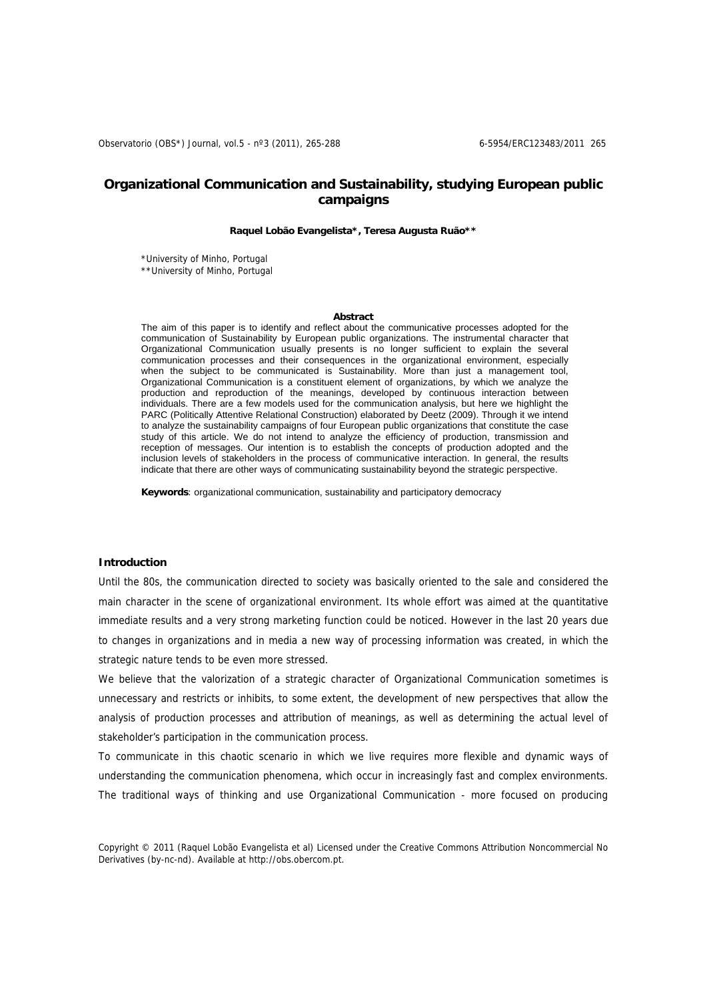# **Organizational Communication and Sustainability, studying European public campaigns**

## **Raquel Lobão Evangelista\*, Teresa Augusta Ruão\*\***

\*University of Minho, Portugal \*\*University of Minho, Portugal

#### **Abstract**

The aim of this paper is to identify and reflect about the communicative processes adopted for the communication of Sustainability by European public organizations. The instrumental character that Organizational Communication usually presents is no longer sufficient to explain the several communication processes and their consequences in the organizational environment, especially when the subject to be communicated is Sustainability. More than just a management tool, Organizational Communication is a constituent element of organizations, by which we analyze the production and reproduction of the meanings, developed by continuous interaction between individuals. There are a few models used for the communication analysis, but here we highlight the PARC (Politically Attentive Relational Construction) elaborated by Deetz (2009). Through it we intend to analyze the sustainability campaigns of four European public organizations that constitute the case study of this article. We do not intend to analyze the efficiency of production, transmission and reception of messages. Our intention is to establish the concepts of production adopted and the inclusion levels of stakeholders in the process of communicative interaction. In general, the results indicate that there are other ways of communicating sustainability beyond the strategic perspective.

**Keywords**: organizational communication, sustainability and participatory democracy

#### <sup>T</sup>**Introduction**

Until the 80s, the communication directed to society was basically oriented to the sale and considered the main character in the scene of organizational environment. Its whole effort was aimed at the quantitative immediate results and a very strong marketing function could be noticed. However in the last 20 years due to changes in organizations and in media a new way of processing information was created, in which the strategic nature tends to be even more stressed.

We believe that the valorization of a strategic character of Organizational Communication sometimes is unnecessary and restricts or inhibits, to some extent, the development of new perspectives that allow the analysis of production processes and attribution of meanings, as well as determining the actual level of stakeholder's participation in the communication process.

To communicate in this chaotic scenario in which we live requires more flexible and dynamic ways of understanding the communication phenomena, which occur in increasingly fast and complex environments. The traditional ways of thinking and use Organizational Communication - more focused on producing

Copyright © 2011 (Raquel Lobão Evangelista et al) Licensed under the Creative Commons Attribution Noncommercial No Derivatives (by-nc-nd). Available at http://obs.obercom.pt.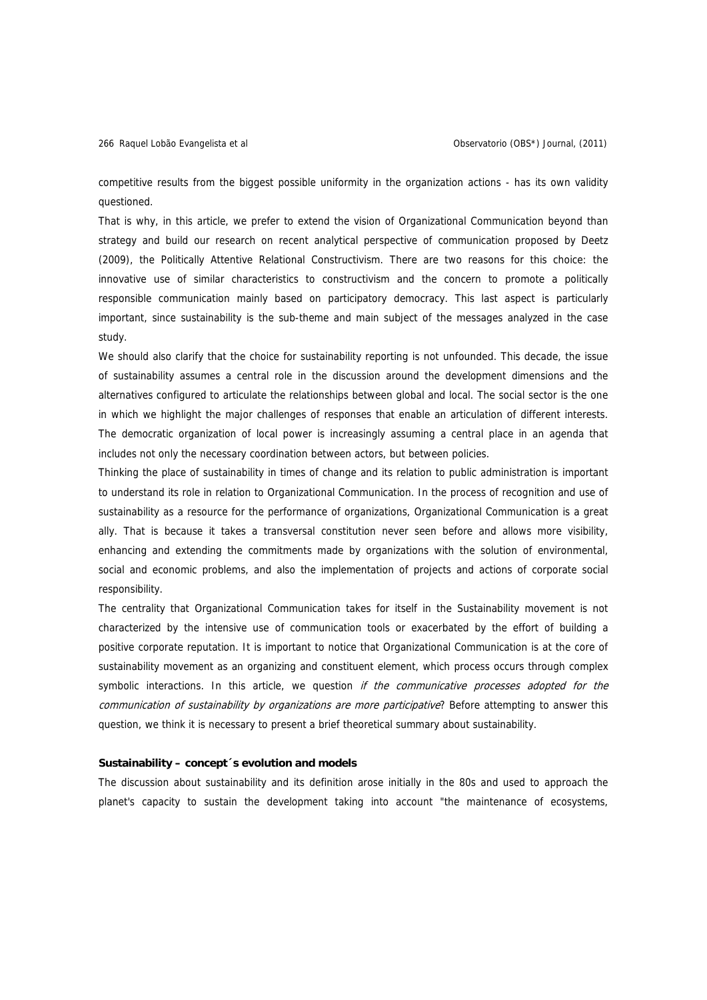competitive results from the biggest possible uniformity in the organization actions - has its own validity questioned.

That is why, in this article, we prefer to extend the vision of Organizational Communication beyond than strategy and build our research on recent analytical perspective of communication proposed by Deetz (2009), the Politically Attentive Relational Constructivism. There are two reasons for this choice: the innovative use of similar characteristics to constructivism and the concern to promote a politically responsible communication mainly based on participatory democracy. This last aspect is particularly important, since sustainability is the sub-theme and main subject of the messages analyzed in the case study.

We should also clarify that the choice for sustainability reporting is not unfounded. This decade, the issue of sustainability assumes a central role in the discussion around the development dimensions and the alternatives configured to articulate the relationships between global and local. The social sector is the one in which we highlight the major challenges of responses that enable an articulation of different interests. The democratic organization of local power is increasingly assuming a central place in an agenda that includes not only the necessary coordination between actors, but between policies.

Thinking the place of sustainability in times of change and its relation to public administration is important to understand its role in relation to Organizational Communication. In the process of recognition and use of sustainability as a resource for the performance of organizations, Organizational Communication is a great ally. That is because it takes a transversal constitution never seen before and allows more visibility, enhancing and extending the commitments made by organizations with the solution of environmental, social and economic problems, and also the implementation of projects and actions of corporate social responsibility.

The centrality that Organizational Communication takes for itself in the Sustainability movement is not characterized by the intensive use of communication tools or exacerbated by the effort of building a positive corporate reputation. It is important to notice that Organizational Communication is at the core of sustainability movement as an organizing and constituent element, which process occurs through complex symbolic interactions. In this article, we question if the communicative processes adopted for the communication of sustainability by organizations are more participative? Before attempting to answer this question, we think it is necessary to present a brief theoretical summary about sustainability.

## **Sustainability – concept´s evolution and models**

The discussion about sustainability and its definition arose initially in the 80s and used to approach the planet's capacity to sustain the development taking into account "the maintenance of ecosystems,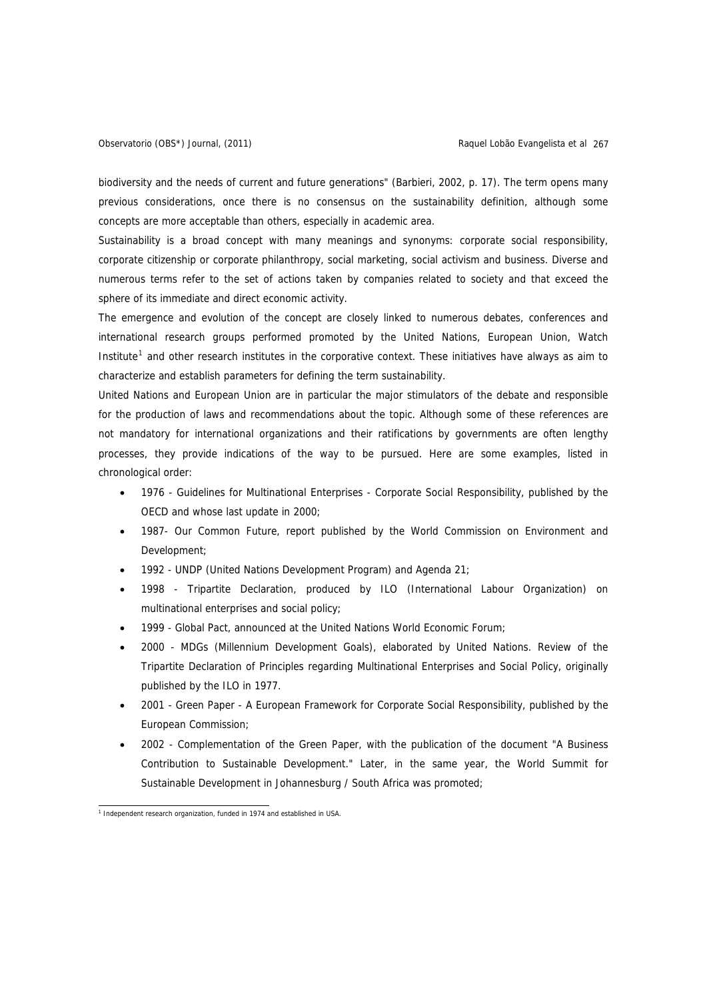biodiversity and the needs of current and future generations" (Barbieri, 2002, p. 17). The term opens many previous considerations, once there is no consensus on the sustainability definition, although some concepts are more acceptable than others, especially in academic area.

Sustainability is a broad concept with many meanings and synonyms: corporate social responsibility, corporate citizenship or corporate philanthropy, social marketing, social activism and business. Diverse and numerous terms refer to the set of actions taken by companies related to society and that exceed the sphere of its immediate and direct economic activity.

The emergence and evolution of the concept are closely linked to numerous debates, conferences and international research groups performed promoted by the United Nations, European Union, Watch Institute<sup>1</sup> and other research institutes in the corporative context. These initiatives have always as aim to characterize and establish parameters for defining the term sustainability.

United Nations and European Union are in particular the major stimulators of the debate and responsible for the production of laws and recommendations about the topic. Although some of these references are not mandatory for international organizations and their ratifications by governments are often lengthy processes, they provide indications of the way to be pursued. Here are some examples, listed in chronological order:

- <sup>T</sup>1976 Guidelines for Multinational Enterprises Corporate Social Responsibility, published by the OECD and whose last update in 2000;
- 1987- Our Common Future, report published by the World Commission on Environment and Development;
- <sup>T</sup>1992 UNDP (United Nations Development Program) and Agenda 21;
- <sup>T</sup>1998 Tripartite Declaration, produced by ILO (International Labour Organization) on multinational enterprises and social policy;
- <sup>T</sup>1999 Global Pact, announced at the United Nations World Economic Forum;
- <sup>T</sup>2000 MDGs (Millennium Development Goals), elaborated by United Nations. Review of the Tripartite Declaration of Principles regarding Multinational Enterprises and Social Policy, originally published by the ILO in 1977.
- <sup>T</sup>2001 Green Paper A European Framework for Corporate Social Responsibility, published by the European Commission;
- <sup>T</sup>2002 Complementation of the Green Paper, with the publication of the document "A Business Contribution to Sustainable Development." Later, in the same year, the World Summit for Sustainable Development in Johannesburg / South Africa was promoted;

<sup>1&</sup>lt;br>Independent research organization, funded in 1974 and established in USA.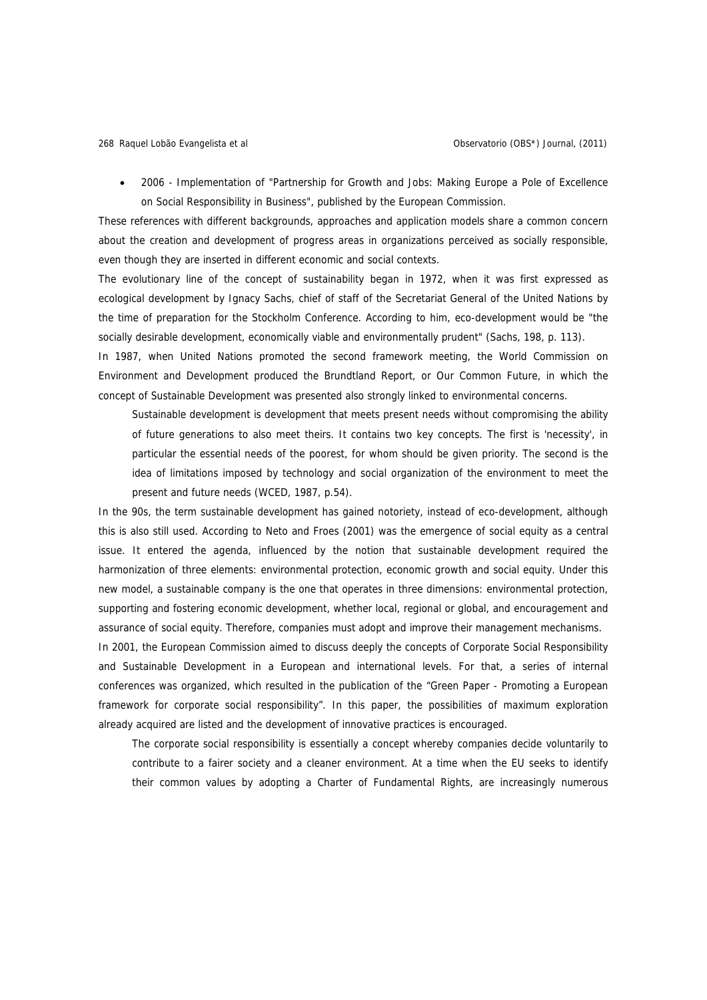• <sup>T</sup>2006 - Implementation of "Partnership for Growth and Jobs: Making Europe a Pole of Excellence on Social Responsibility in Business", published by the European Commission.

These references with different backgrounds, approaches and application models share a common concern about the creation and development of progress areas in organizations perceived as socially responsible, even though they are inserted in different economic and social contexts.

The evolutionary line of the concept of sustainability began in 1972, when it was first expressed as ecological development by Ignacy Sachs, chief of staff of the Secretariat General of the United Nations by the time of preparation for the Stockholm Conference. According to him, eco-development would be "the socially desirable development, economically viable and environmentally prudent" (Sachs, 198, p. 113).

In 1987, when United Nations promoted the second framework meeting, the World Commission on Environment and Development produced the Brundtland Report, or Our Common Future, in which the concept of Sustainable Development was presented also strongly linked to environmental concerns.

Sustainable development is development that meets present needs without compromising the ability of future generations to also meet theirs. It contains two key concepts. The first is 'necessity', in particular the essential needs of the poorest, for whom should be given priority. The second is the idea of limitations imposed by technology and social organization of the environment to meet the present and future needs (WCED, 1987, p.54).

In the 90s, the term sustainable development has gained notoriety, instead of eco-development, although this is also still used. According to Neto and Froes (2001) was the emergence of social equity as a central issue. It entered the agenda, influenced by the notion that sustainable development required the harmonization of three elements: environmental protection, economic growth and social equity. Under this new model, a sustainable company is the one that operates in three dimensions: environmental protection, supporting and fostering economic development, whether local, regional or global, and encouragement and assurance of social equity. Therefore, companies must adopt and improve their management mechanisms.

In 2001, the European Commission aimed to discuss deeply the concepts of Corporate Social Responsibility and Sustainable Development in a European and international levels. For that, a series of internal conferences was organized, which resulted in the publication of the "Green Paper - Promoting a European framework for corporate social responsibility". In this paper, the possibilities of maximum exploration already acquired are listed and the development of innovative practices is encouraged.

The corporate social responsibility is essentially a concept whereby companies decide voluntarily to contribute to a fairer society and a cleaner environment. At a time when the EU seeks to identify their common values by adopting a Charter of Fundamental Rights, are increasingly numerous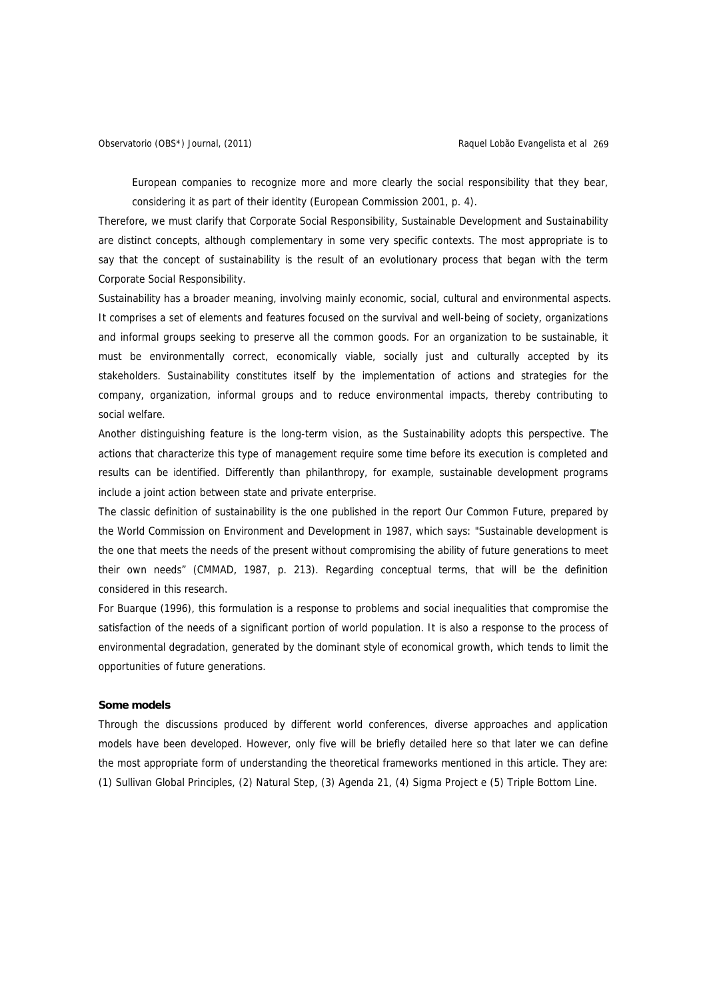European companies to recognize more and more clearly the social responsibility that they bear, considering it as part of their identity (European Commission 2001, p. 4).

Therefore, we must clarify that Corporate Social Responsibility, Sustainable Development and Sustainability are distinct concepts, although complementary in some very specific contexts. The most appropriate is to say that the concept of sustainability is the result of an evolutionary process that began with the term Corporate Social Responsibility.

Sustainability has a broader meaning, involving mainly economic, social, cultural and environmental aspects. It comprises a set of elements and features focused on the survival and well-being of society, organizations and informal groups seeking to preserve all the common goods. For an organization to be sustainable, it must be environmentally correct, economically viable, socially just and culturally accepted by its stakeholders. Sustainability constitutes itself by the implementation of actions and strategies for the company, organization, informal groups and to reduce environmental impacts, thereby contributing to social welfare.

Another distinguishing feature is the long-term vision, as the Sustainability adopts this perspective. The actions that characterize this type of management require some time before its execution is completed and results can be identified. Differently than philanthropy, for example, sustainable development programs include a joint action between state and private enterprise.

The classic definition of sustainability is the one published in the report Our Common Future, prepared by the World Commission on Environment and Development in 1987, which says: "Sustainable development is the one that meets the needs of the present without compromising the ability of future generations to meet their own needs" (CMMAD, 1987, p. 213). Regarding conceptual terms, that will be the definition considered in this research.

For Buarque (1996), this formulation is a response to problems and social inequalities that compromise the satisfaction of the needs of a significant portion of world population. It is also a response to the process of environmental degradation, generated by the dominant style of economical growth, which tends to limit the opportunities of future generations.

## **Some models**

Through the discussions produced by different world conferences, diverse approaches and application models have been developed. However, only five will be briefly detailed here so that later we can define the most appropriate form of understanding the theoretical frameworks mentioned in this article. They are: (1) Sullivan Global Principles, (2) Natural Step, (3) Agenda 21, (4) Sigma Project e (5) Triple Bottom Line.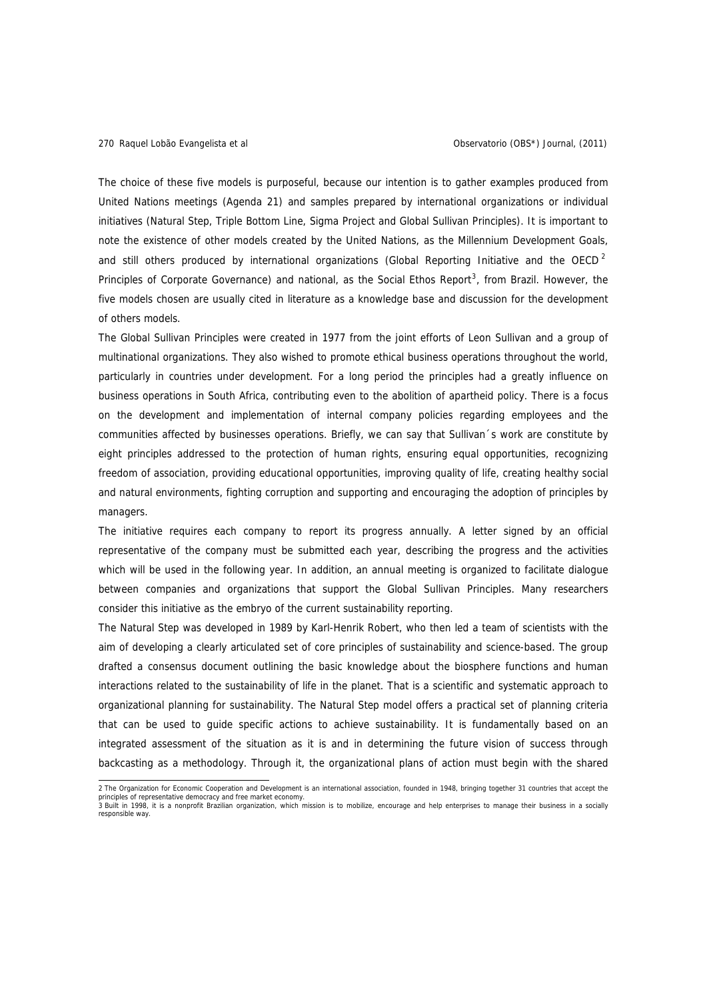responsible way.

The choice of these five models is purposeful, because our intention is to gather examples produced from United Nations meetings (Agenda 21) and samples prepared by international organizations or individual initiatives (Natural Step, Triple Bottom Line, Sigma Project and Global Sullivan Principles). It is important to note the existence of other models created by the United Nations, as the Millennium Development Goals, and still others produced by international organizations (Global Reporting Initiative and the OECD<sup>2</sup> Principles of Corporate Governance) and national, as the Social Ethos Report<sup>3</sup>, from Brazil. However, the five models chosen are usually cited in literature as a knowledge base and discussion for the development of others models.

The Global Sullivan Principles were created in 1977 from the joint efforts of Leon Sullivan and a group of multinational organizations. They also wished to promote ethical business operations throughout the world, particularly in countries under development. For a long period the principles had a greatly influence on business operations in South Africa, contributing even to the abolition of apartheid policy. There is a focus on the development and implementation of internal company policies regarding employees and the communities affected by businesses operations. Briefly, we can say that Sullivan´s work are constitute by eight principles addressed to the protection of human rights, ensuring equal opportunities, recognizing freedom of association, providing educational opportunities, improving quality of life, creating healthy social and natural environments, fighting corruption and supporting and encouraging the adoption of principles by managers.

The initiative requires each company to report its progress annually. A letter signed by an official representative of the company must be submitted each year, describing the progress and the activities which will be used in the following year. In addition, an annual meeting is organized to facilitate dialogue between companies and organizations that support the Global Sullivan Principles. Many researchers consider this initiative as the embryo of the current sustainability reporting.

The Natural Step was developed in 1989 by Karl-Henrik Robert, who then led a team of scientists with the aim of developing a clearly articulated set of core principles of sustainability and science-based. The group drafted a consensus document outlining the basic knowledge about the biosphere functions and human interactions related to the sustainability of life in the planet. That is a scientific and systematic approach to organizational planning for sustainability. The Natural Step model offers a practical set of planning criteria that can be used to guide specific actions to achieve sustainability. It is fundamentally based on an integrated assessment of the situation as it is and in determining the future vision of success through backcasting as a methodology. Through it, the organizational plans of action must begin with the shared

 2 The Organization for Economic Cooperation and Development is an international association, founded in 1948, bringing together 31 countries that accept the principles of representative democracy and free market economy.<br>3 Built in 1998, it is a nonprofit Brazilian organization, which mission is to mobilize, encourage and help enterprises to manage their business in a socially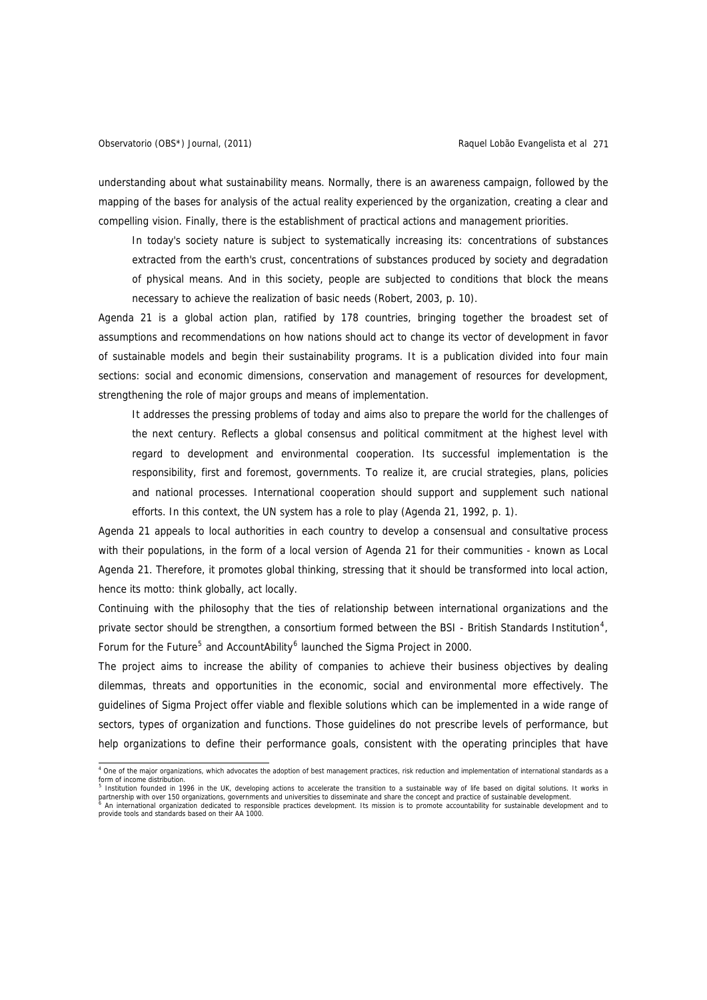understanding about what sustainability means. Normally, there is an awareness campaign, followed by the mapping of the bases for analysis of the actual reality experienced by the organization, creating a clear and compelling vision. Finally, there is the establishment of practical actions and management priorities.

In today's society nature is subject to systematically increasing its: concentrations of substances extracted from the earth's crust, concentrations of substances produced by society and degradation of physical means. And in this society, people are subjected to conditions that block the means necessary to achieve the realization of basic needs (Robert, 2003, p. 10).

Agenda 21 is a global action plan, ratified by 178 countries, bringing together the broadest set of assumptions and recommendations on how nations should act to change its vector of development in favor of sustainable models and begin their sustainability programs. It is a publication divided into four main sections: social and economic dimensions, conservation and management of resources for development, strengthening the role of major groups and means of implementation.

It addresses the pressing problems of today and aims also to prepare the world for the challenges of the next century. Reflects a global consensus and political commitment at the highest level with regard to development and environmental cooperation. Its successful implementation is the responsibility, first and foremost, governments. To realize it, are crucial strategies, plans, policies and national processes. International cooperation should support and supplement such national efforts. In this context, the UN system has a role to play (Agenda 21, 1992, p. 1).

Agenda 21 appeals to local authorities in each country to develop a consensual and consultative process with their populations, in the form of a local version of Agenda 21 for their communities - known as Local Agenda 21. Therefore, it promotes global thinking, stressing that it should be transformed into local action, hence its motto: think globally, act locally.

Continuing with the philosophy that the ties of relationship between international organizations and the private sector should be strengthen, a consortium formed between the BSI - British Standards Institution<sup>4</sup>, Forum for the Future<sup>5</sup> and AccountAbility<sup>6</sup> launched the Sigma Project in 2000.

The project aims to increase the ability of companies to achieve their business objectives by dealing dilemmas, threats and opportunities in the economic, social and environmental more effectively. The guidelines of Sigma Project offer viable and flexible solutions which can be implemented in a wide range of sectors, types of organization and functions. Those guidelines do not prescribe levels of performance, but help organizations to define their performance goals, consistent with the operating principles that have

a<br>A One of the major organizations, which advocates the adoption of best management practices, risk reduction and implementation of international standards as a form of income distribution.<br><sup>5</sup> Institution founded in 1996 in the UK, developing actions to accelerate the transition to a sustainable way of life based on digital solutions. It works in

partnership with over 150 organizations, governments and universities to disseminate and share the concept and practice of sustainable development.<br><sup>6</sup> An international organization dedicated to responsible practices devel

provide tools and standards based on their AA 1000.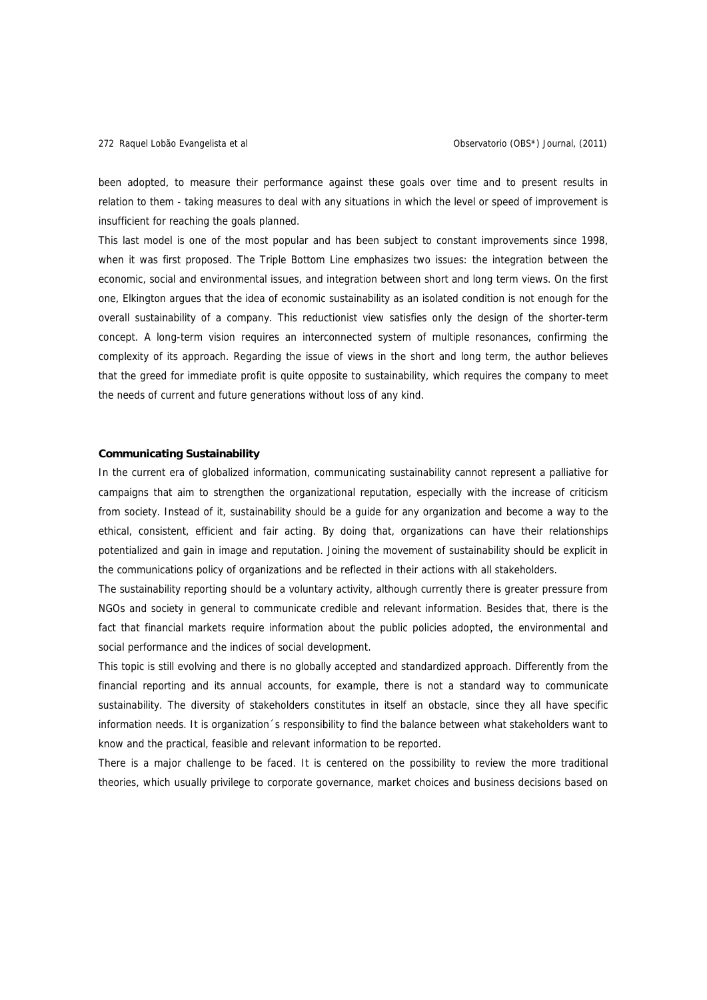been adopted, to measure their performance against these goals over time and to present results in relation to them - taking measures to deal with any situations in which the level or speed of improvement is insufficient for reaching the goals planned.

This last model is one of the most popular and has been subject to constant improvements since 1998, when it was first proposed. The Triple Bottom Line emphasizes two issues: the integration between the economic, social and environmental issues, and integration between short and long term views. On the first one, Elkington argues that the idea of economic sustainability as an isolated condition is not enough for the overall sustainability of a company. This reductionist view satisfies only the design of the shorter-term concept. A long-term vision requires an interconnected system of multiple resonances, confirming the complexity of its approach. Regarding the issue of views in the short and long term, the author believes that the greed for immediate profit is quite opposite to sustainability, which requires the company to meet the needs of current and future generations without loss of any kind.

## **Communicating Sustainability**

In the current era of globalized information, communicating sustainability cannot represent a palliative for campaigns that aim to strengthen the organizational reputation, especially with the increase of criticism from society. Instead of it, sustainability should be a guide for any organization and become a way to the ethical, consistent, efficient and fair acting. By doing that, organizations can have their relationships potentialized and gain in image and reputation. Joining the movement of sustainability should be explicit in the communications policy of organizations and be reflected in their actions with all stakeholders.

The sustainability reporting should be a voluntary activity, although currently there is greater pressure from NGOs and society in general to communicate credible and relevant information. Besides that, there is the fact that financial markets require information about the public policies adopted, the environmental and social performance and the indices of social development.

This topic is still evolving and there is no globally accepted and standardized approach. Differently from the financial reporting and its annual accounts, for example, there is not a standard way to communicate sustainability. The diversity of stakeholders constitutes in itself an obstacle, since they all have specific information needs. It is organization´s responsibility to find the balance between what stakeholders want to know and the practical, feasible and relevant information to be reported.

There is a major challenge to be faced. It is centered on the possibility to review the more traditional theories, which usually privilege to corporate governance, market choices and business decisions based on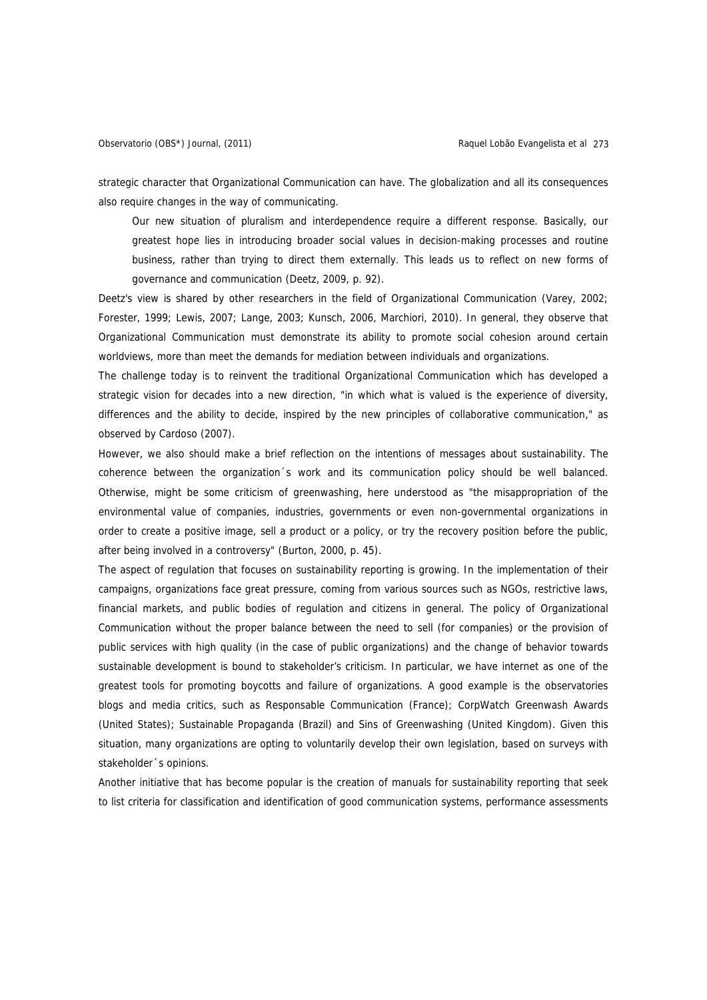strategic character that Organizational Communication can have. The globalization and all its consequences also require changes in the way of communicating.

Our new situation of pluralism and interdependence require a different response. Basically, our greatest hope lies in introducing broader social values in decision-making processes and routine business, rather than trying to direct them externally. This leads us to reflect on new forms of governance and communication (Deetz, 2009, p. 92).

Deetz's view is shared by other researchers in the field of Organizational Communication (Varey, 2002; Forester, 1999; Lewis, 2007; Lange, 2003; Kunsch, 2006, Marchiori, 2010). In general, they observe that Organizational Communication must demonstrate its ability to promote social cohesion around certain worldviews, more than meet the demands for mediation between individuals and organizations.

The challenge today is to reinvent the traditional Organizational Communication which has developed a strategic vision for decades into a new direction, "in which what is valued is the experience of diversity, differences and the ability to decide, inspired by the new principles of collaborative communication," as observed by Cardoso (2007).

However, we also should make a brief reflection on the intentions of messages about sustainability. The coherence between the organization´s work and its communication policy should be well balanced. Otherwise, might be some criticism of greenwashing, here understood as "the misappropriation of the environmental value of companies, industries, governments or even non-governmental organizations in order to create a positive image, sell a product or a policy, or try the recovery position before the public, after being involved in a controversy" (Burton, 2000, p. 45).

The aspect of regulation that focuses on sustainability reporting is growing. In the implementation of their campaigns, organizations face great pressure, coming from various sources such as NGOs, restrictive laws, financial markets, and public bodies of regulation and citizens in general. The policy of Organizational Communication without the proper balance between the need to sell (for companies) or the provision of public services with high quality (in the case of public organizations) and the change of behavior towards sustainable development is bound to stakeholder's criticism. In particular, we have internet as one of the greatest tools for promoting boycotts and failure of organizations. A good example is the observatories blogs and media critics, such as Responsable Communication (France); CorpWatch Greenwash Awards (United States); Sustainable Propaganda (Brazil) and Sins of Greenwashing (United Kingdom). Given this situation, many organizations are opting to voluntarily develop their own legislation, based on surveys with stakeholder´s opinions.

Another initiative that has become popular is the creation of manuals for sustainability reporting that seek to list criteria for classification and identification of good communication systems, performance assessments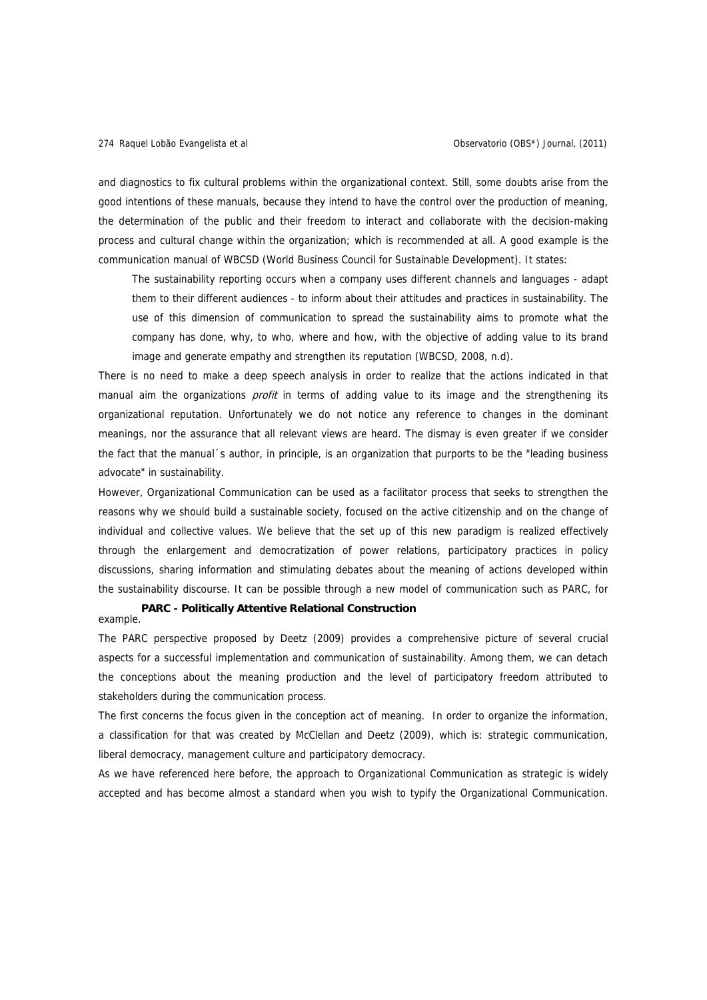and diagnostics to fix cultural problems within the organizational context. Still, some doubts arise from the good intentions of these manuals, because they intend to have the control over the production of meaning, the determination of the public and their freedom to interact and collaborate with the decision-making process and cultural change within the organization; which is recommended at all. A good example is the communication manual of WBCSD (World Business Council for Sustainable Development). It states:

The sustainability reporting occurs when a company uses different channels and languages - adapt them to their different audiences - to inform about their attitudes and practices in sustainability. The use of this dimension of communication to spread the sustainability aims to promote what the company has done, why, to who, where and how, with the objective of adding value to its brand image and generate empathy and strengthen its reputation (WBCSD, 2008, n.d).

There is no need to make a deep speech analysis in order to realize that the actions indicated in that manual aim the organizations *profit* in terms of adding value to its image and the strengthening its organizational reputation. Unfortunately we do not notice any reference to changes in the dominant meanings, nor the assurance that all relevant views are heard. The dismay is even greater if we consider the fact that the manual´s author, in principle, is an organization that purports to be the "leading business advocate" in sustainability.

However, Organizational Communication can be used as a facilitator process that seeks to strengthen the reasons why we should build a sustainable society, focused on the active citizenship and on the change of individual and collective values. We believe that the set up of this new paradigm is realized effectively through the enlargement and democratization of power relations, participatory practices in policy discussions, sharing information and stimulating debates about the meaning of actions developed within the sustainability discourse. It can be possible through a new model of communication such as PARC, for

example. **PARC - Politically Attentive Relational Construction** 

The PARC perspective proposed by Deetz (2009) provides a comprehensive picture of several crucial aspects for a successful implementation and communication of sustainability. Among them, we can detach the conceptions about the meaning production and the level of participatory freedom attributed to stakeholders during the communication process.

The first concerns the focus given in the conception act of meaning. In order to organize the information, a classification for that was created by McClellan and Deetz (2009), which is: strategic communication, liberal democracy, management culture and participatory democracy.

As we have referenced here before, the approach to Organizational Communication as strategic is widely accepted and has become almost a standard when you wish to typify the Organizational Communication.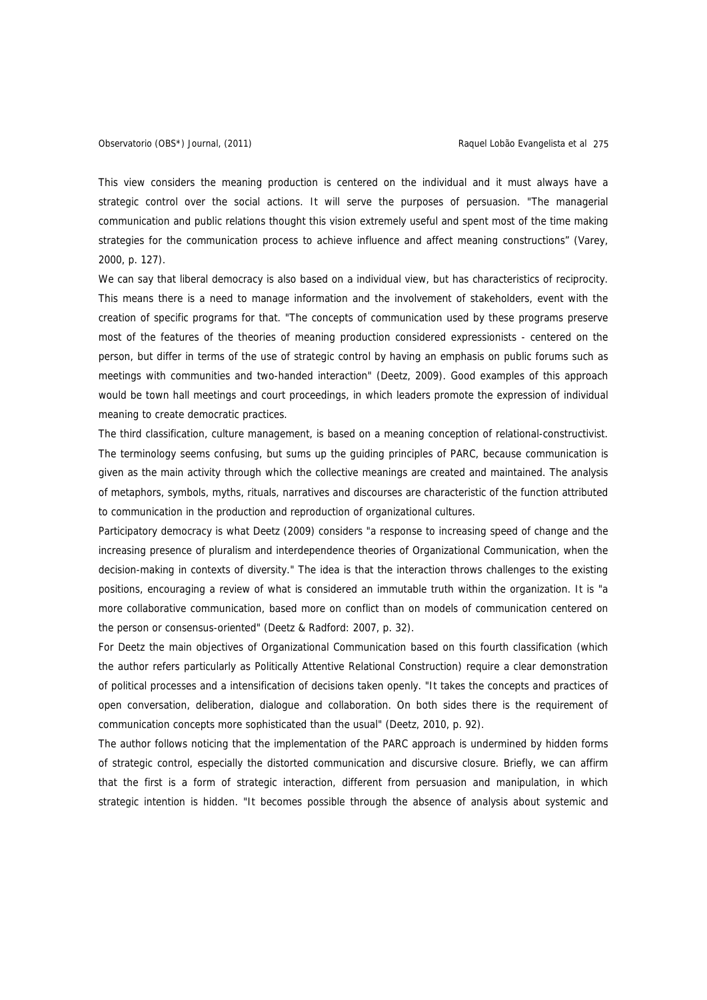This view considers the meaning production is centered on the individual and it must always have a strategic control over the social actions. It will serve the purposes of persuasion. "The managerial communication and public relations thought this vision extremely useful and spent most of the time making strategies for the communication process to achieve influence and affect meaning constructions" (Varey, 2000, p. 127).

We can say that liberal democracy is also based on a individual view, but has characteristics of reciprocity. This means there is a need to manage information and the involvement of stakeholders, event with the creation of specific programs for that. "The concepts of communication used by these programs preserve most of the features of the theories of meaning production considered expressionists - centered on the person, but differ in terms of the use of strategic control by having an emphasis on public forums such as meetings with communities and two-handed interaction" (Deetz, 2009). Good examples of this approach would be town hall meetings and court proceedings, in which leaders promote the expression of individual meaning to create democratic practices.

The third classification, culture management, is based on a meaning conception of relational-constructivist. The terminology seems confusing, but sums up the guiding principles of PARC, because communication is given as the main activity through which the collective meanings are created and maintained. The analysis of metaphors, symbols, myths, rituals, narratives and discourses are characteristic of the function attributed to communication in the production and reproduction of organizational cultures.

Participatory democracy is what Deetz (2009) considers "a response to increasing speed of change and the increasing presence of pluralism and interdependence theories of Organizational Communication, when the decision-making in contexts of diversity." The idea is that the interaction throws challenges to the existing positions, encouraging a review of what is considered an immutable truth within the organization. It is "a more collaborative communication, based more on conflict than on models of communication centered on the person or consensus-oriented" (Deetz & Radford: 2007, p. 32).

For Deetz the main objectives of Organizational Communication based on this fourth classification (which the author refers particularly as Politically Attentive Relational Construction) require a clear demonstration of political processes and a intensification of decisions taken openly. "It takes the concepts and practices of open conversation, deliberation, dialogue and collaboration. On both sides there is the requirement of communication concepts more sophisticated than the usual" (Deetz, 2010, p. 92).

The author follows noticing that the implementation of the PARC approach is undermined by hidden forms of strategic control, especially the distorted communication and discursive closure. Briefly, we can affirm that the first is a form of strategic interaction, different from persuasion and manipulation, in which strategic intention is hidden. "It becomes possible through the absence of analysis about systemic and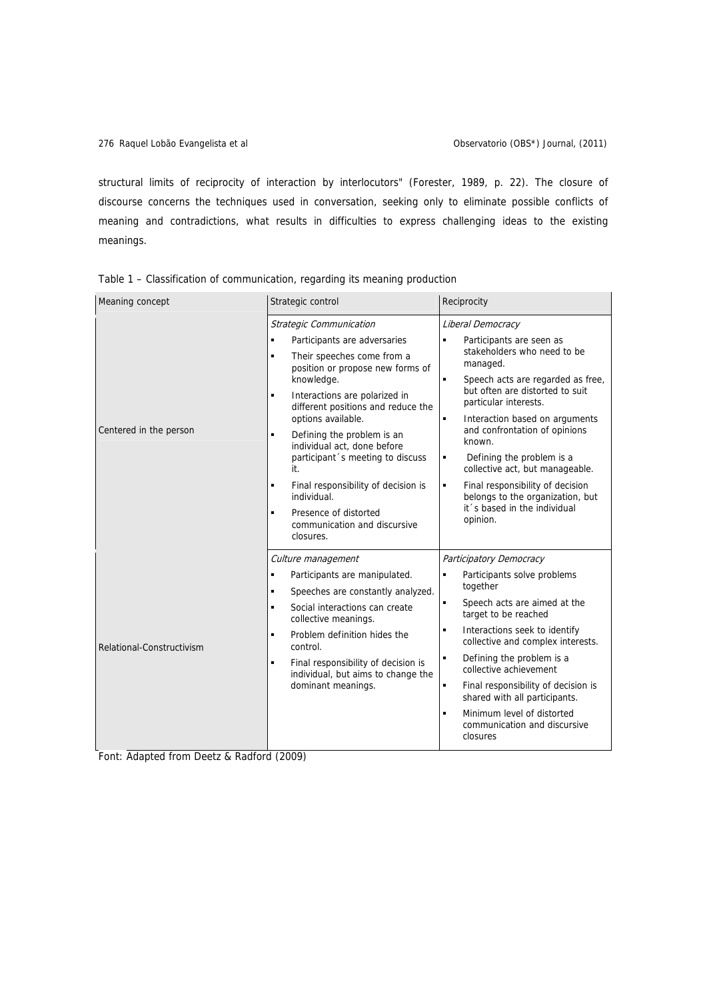structural limits of reciprocity of interaction by interlocutors" (Forester, 1989, p. 22). The closure of discourse concerns the techniques used in conversation, seeking only to eliminate possible conflicts of meaning and contradictions, what results in difficulties to express challenging ideas to the existing meanings.

| Meaning concept           | Strategic control                                                                                                                                                                   | Reciprocity                                                                                                                                                                                                                 |
|---------------------------|-------------------------------------------------------------------------------------------------------------------------------------------------------------------------------------|-----------------------------------------------------------------------------------------------------------------------------------------------------------------------------------------------------------------------------|
| Centered in the person    | Strategic Communication                                                                                                                                                             | Liberal Democracy                                                                                                                                                                                                           |
|                           | Participants are adversaries<br>$\blacksquare$                                                                                                                                      | Participants are seen as<br>٠                                                                                                                                                                                               |
|                           | Their speeches come from a<br>٠<br>position or propose new forms of<br>knowledge.<br>Interactions are polarized in<br>٠<br>different positions and reduce the<br>options available. | stakeholders who need to be<br>managed.                                                                                                                                                                                     |
|                           |                                                                                                                                                                                     | Speech acts are regarded as free,<br>٠<br>but often are distorted to suit                                                                                                                                                   |
|                           |                                                                                                                                                                                     | particular interests.                                                                                                                                                                                                       |
|                           |                                                                                                                                                                                     | Interaction based on arguments<br>٠<br>and confrontation of opinions                                                                                                                                                        |
|                           | Defining the problem is an<br>٠<br>individual act, done before<br>participant 's meeting to discuss<br>it.                                                                          | known.                                                                                                                                                                                                                      |
|                           |                                                                                                                                                                                     | Defining the problem is a<br>٠<br>collective act, but manageable.                                                                                                                                                           |
|                           | ٠<br>Final responsibility of decision is<br>individual.                                                                                                                             | Final responsibility of decision<br>٠<br>belongs to the organization, but<br>it 's based in the individual<br>opinion.                                                                                                      |
|                           | Presence of distorted<br>٠<br>communication and discursive<br>closures.                                                                                                             |                                                                                                                                                                                                                             |
| Relational-Constructivism | Culture management                                                                                                                                                                  | Participatory Democracy                                                                                                                                                                                                     |
|                           | Participants are manipulated.<br>٠                                                                                                                                                  | Participants solve problems<br>$\blacksquare$<br>together<br>Speech acts are aimed at the<br>$\blacksquare$<br>target to be reached<br>$\blacksquare$<br>Interactions seek to identify<br>collective and complex interests. |
|                           | Speeches are constantly analyzed.<br>٠                                                                                                                                              |                                                                                                                                                                                                                             |
|                           | Social interactions can create<br>$\blacksquare$<br>collective meanings.                                                                                                            |                                                                                                                                                                                                                             |
|                           | Problem definition hides the<br>$\blacksquare$<br>control.                                                                                                                          |                                                                                                                                                                                                                             |
|                           | Final responsibility of decision is<br>٠<br>individual, but aims to change the<br>dominant meanings.                                                                                | Defining the problem is a<br>$\blacksquare$<br>collective achievement                                                                                                                                                       |
|                           |                                                                                                                                                                                     | Final responsibility of decision is<br>$\blacksquare$<br>shared with all participants.                                                                                                                                      |
|                           |                                                                                                                                                                                     | Minimum level of distorted<br>$\blacksquare$<br>communication and discursive<br>closures                                                                                                                                    |

Table 1 – Classification of communication, regarding its meaning production

Font: Adapted from Deetz & Radford (2009)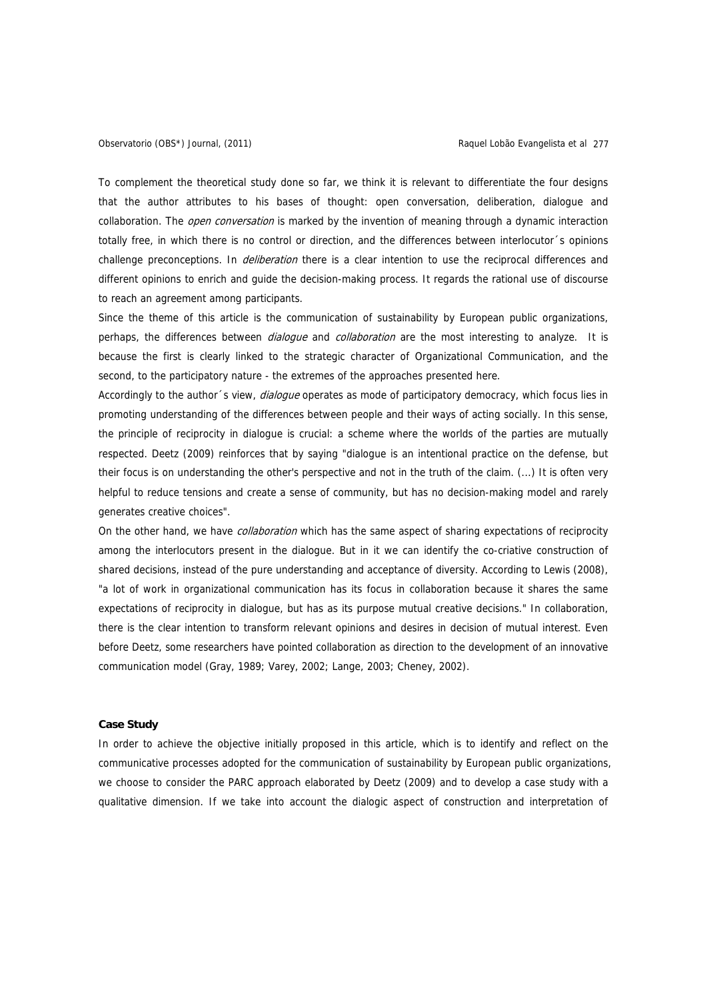To complement the theoretical study done so far, we think it is relevant to differentiate the four designs that the author attributes to his bases of thought: open conversation, deliberation, dialogue and collaboration. The open conversation is marked by the invention of meaning through a dynamic interaction totally free, in which there is no control or direction, and the differences between interlocutor´s opinions challenge preconceptions. In *deliberation* there is a clear intention to use the reciprocal differences and different opinions to enrich and guide the decision-making process. It regards the rational use of discourse to reach an agreement among participants.

Since the theme of this article is the communication of sustainability by European public organizations, perhaps, the differences between *dialoque* and *collaboration* are the most interesting to analyze. It is because the first is clearly linked to the strategic character of Organizational Communication, and the second, to the participatory nature - the extremes of the approaches presented here.

Accordingly to the author 's view, *dialogue* operates as mode of participatory democracy, which focus lies in promoting understanding of the differences between people and their ways of acting socially. In this sense, the principle of reciprocity in dialogue is crucial: a scheme where the worlds of the parties are mutually respected. Deetz (2009) reinforces that by saying "dialogue is an intentional practice on the defense, but their focus is on understanding the other's perspective and not in the truth of the claim. (...) It is often very helpful to reduce tensions and create a sense of community, but has no decision-making model and rarely generates creative choices".

On the other hand, we have *collaboration* which has the same aspect of sharing expectations of reciprocity among the interlocutors present in the dialogue. But in it we can identify the co-criative construction of shared decisions, instead of the pure understanding and acceptance of diversity. According to Lewis (2008), "a lot of work in organizational communication has its focus in collaboration because it shares the same expectations of reciprocity in dialogue, but has as its purpose mutual creative decisions." In collaboration, there is the clear intention to transform relevant opinions and desires in decision of mutual interest. Even before Deetz, some researchers have pointed collaboration as direction to the development of an innovative communication model (Gray, 1989; Varey, 2002; Lange, 2003; Cheney, 2002).

# **Case Study**

In order to achieve the objective initially proposed in this article, which is to identify and reflect on the communicative processes adopted for the communication of sustainability by European public organizations, we choose to consider the PARC approach elaborated by Deetz (2009) and to develop a case study with a qualitative dimension. If we take into account the dialogic aspect of construction and interpretation of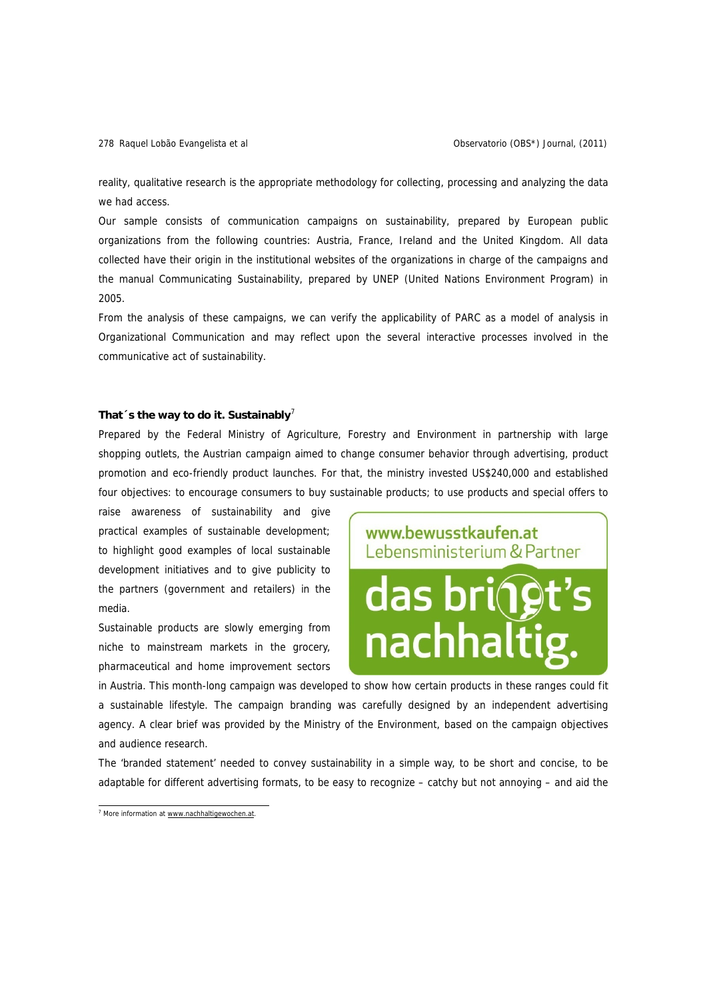reality, qualitative research is the appropriate methodology for collecting, processing and analyzing the data we had access.

Our sample consists of communication campaigns on sustainability, prepared by European public organizations from the following countries: Austria, France, Ireland and the United Kingdom. All data collected have their origin in the institutional websites of the organizations in charge of the campaigns and the manual Communicating Sustainability, prepared by UNEP (United Nations Environment Program) in 2005.

From the analysis of these campaigns, we can verify the applicability of PARC as a model of analysis in Organizational Communication and may reflect upon the several interactive processes involved in the communicative act of sustainability.

## That  $\tilde{ }$  s the way to do it. Sustainably<sup>7</sup>

Prepared by the Federal Ministry of Agriculture, Forestry and Environment in partnership with large shopping outlets, the Austrian campaign aimed to change consumer behavior through advertising, product promotion and eco-friendly product launches. For that, the ministry invested US\$240,000 and established four objectives: to encourage consumers to buy sustainable products; to use products and special offers to

raise awareness of sustainability and give practical examples of sustainable development; to highlight good examples of local sustainable development initiatives and to give publicity to the partners (government and retailers) in the media.

Sustainable products are slowly emerging from niche to mainstream markets in the grocery, pharmaceutical and home improvement sectors



in Austria. This month-long campaign was developed to show how certain products in these ranges could fit a sustainable lifestyle. The campaign branding was carefully designed by an independent advertising agency. A clear brief was provided by the Ministry of the Environment, based on the campaign objectives and audience research.

The 'branded statement' needed to convey sustainability in a simple way, to be short and concise, to be adaptable for different advertising formats, to be easy to recognize – catchy but not annoying – and aid the

 $\frac{7}{1}$  More information at www.nachhaltigewochen.at.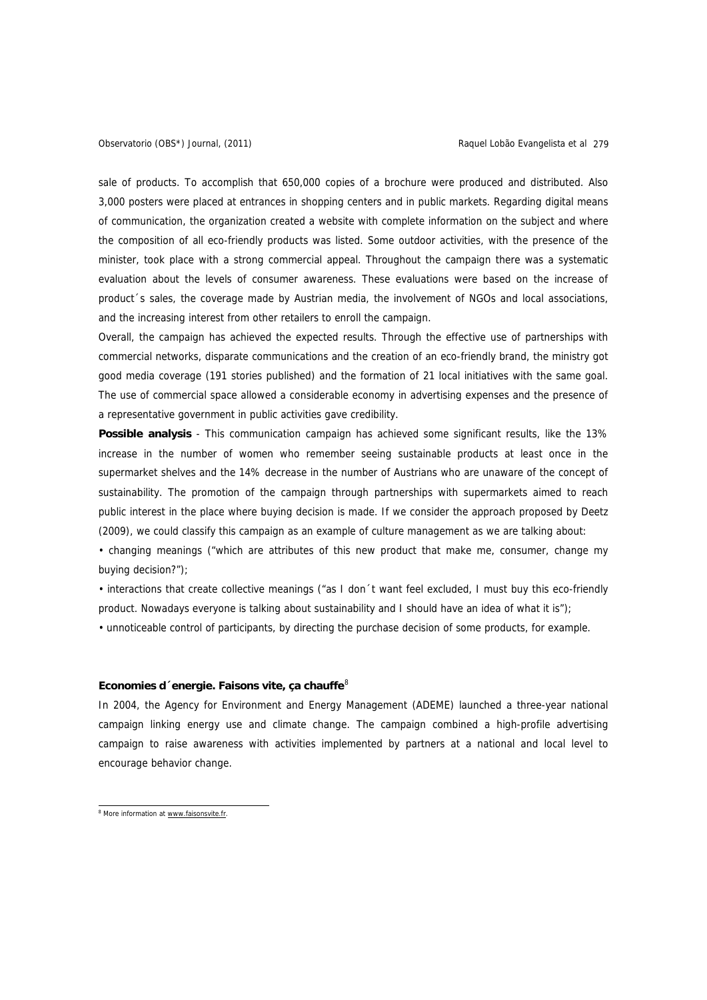sale of products. To accomplish that 650,000 copies of a brochure were produced and distributed. Also 3,000 posters were placed at entrances in shopping centers and in public markets. Regarding digital means of communication, the organization created a website with complete information on the subject and where the composition of all eco-friendly products was listed. Some outdoor activities, with the presence of the minister, took place with a strong commercial appeal. Throughout the campaign there was a systematic evaluation about the levels of consumer awareness. These evaluations were based on the increase of product´s sales, the coverage made by Austrian media, the involvement of NGOs and local associations, and the increasing interest from other retailers to enroll the campaign.

Overall, the campaign has achieved the expected results. Through the effective use of partnerships with commercial networks, disparate communications and the creation of an eco-friendly brand, the ministry got good media coverage (191 stories published) and the formation of 21 local initiatives with the same goal. The use of commercial space allowed a considerable economy in advertising expenses and the presence of a representative government in public activities gave credibility.

**Possible analysis** - This communication campaign has achieved some significant results, like the 13% increase in the number of women who remember seeing sustainable products at least once in the supermarket shelves and the 14% decrease in the number of Austrians who are unaware of the concept of sustainability. The promotion of the campaign through partnerships with supermarkets aimed to reach public interest in the place where buying decision is made. If we consider the approach proposed by Deetz (2009), we could classify this campaign as an example of culture management as we are talking about:

• changing meanings ("which are attributes of this new product that make me, consumer, change my buying decision?");

• interactions that create collective meanings ("as I don´t want feel excluded, I must buy this eco-friendly product. Nowadays everyone is talking about sustainability and I should have an idea of what it is");

• unnoticeable control of participants, by directing the purchase decision of some products, for example.

## **Economies d´energie. Faisons vite, ça chauffe<sup>8</sup>**

In 2004, the Agency for Environment and Energy Management (ADEME) launched a three-year national campaign linking energy use and climate change. The campaign combined a high-profile advertising campaign to raise awareness with activities implemented by partners at a national and local level to encourage behavior change.

<sup>&</sup>lt;sup>8</sup> More information at www.faisonsvite.fr.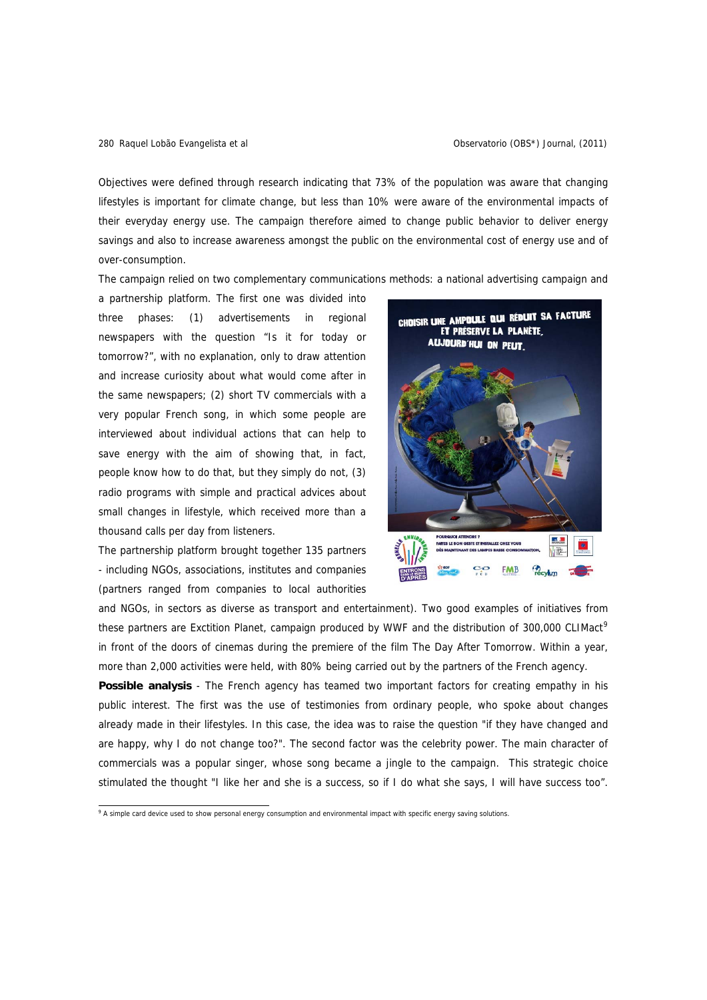Objectives were defined through research indicating that 73% of the population was aware that changing lifestyles is important for climate change, but less than 10% were aware of the environmental impacts of their everyday energy use. The campaign therefore aimed to change public behavior to deliver energy savings and also to increase awareness amongst the public on the environmental cost of energy use and of over-consumption.

The campaign relied on two complementary communications methods: a national advertising campaign and

a partnership platform. The first one was divided into three phases: (1) advertisements in regional newspapers with the question "Is it for today or tomorrow?", with no explanation, only to draw attention and increase curiosity about what would come after in the same newspapers; (2) short TV commercials with a very popular French song, in which some people are interviewed about individual actions that can help to save energy with the aim of showing that, in fact, people know how to do that, but they simply do not, (3) radio programs with simple and practical advices about small changes in lifestyle, which received more than a thousand calls per day from listeners.

The partnership platform brought together 135 partners - including NGOs, associations, institutes and companies (partners ranged from companies to local authorities



and NGOs, in sectors as diverse as transport and entertainment). Two good examples of initiatives from these partners are Exctition Planet, campaign produced by WWF and the distribution of 300,000 CLIMact<sup>9</sup> in front of the doors of cinemas during the premiere of the film The Day After Tomorrow. Within a year, more than 2,000 activities were held, with 80% being carried out by the partners of the French agency.

**Possible analysis** - The French agency has teamed two important factors for creating empathy in his public interest. The first was the use of testimonies from ordinary people, who spoke about changes already made in their lifestyles. In this case, the idea was to raise the question "if they have changed and are happy, why I do not change too?". The second factor was the celebrity power. The main character of commercials was a popular singer, whose song became a jingle to the campaign. This strategic choice stimulated the thought "I like her and she is a success, so if I do what she says, I will have success too".

<sup>&</sup>lt;sup>9</sup> A simple card device used to show personal energy consumption and environmental impact with specific energy saving solutions.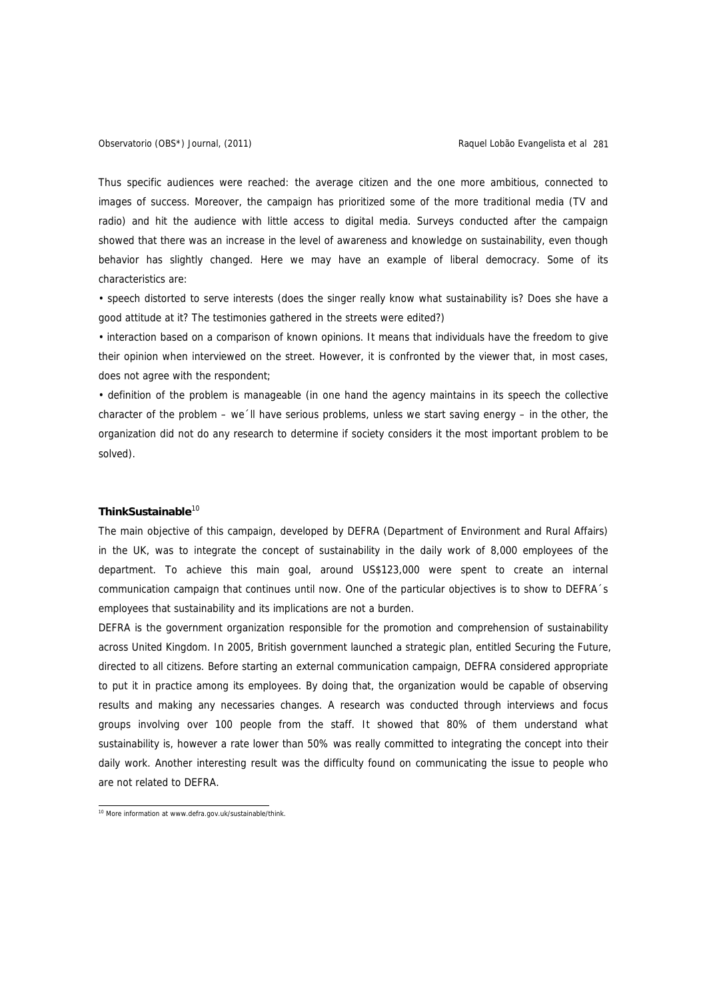Thus specific audiences were reached: the average citizen and the one more ambitious, connected to images of success. Moreover, the campaign has prioritized some of the more traditional media (TV and radio) and hit the audience with little access to digital media. Surveys conducted after the campaign showed that there was an increase in the level of awareness and knowledge on sustainability, even though behavior has slightly changed. Here we may have an example of liberal democracy. Some of its characteristics are:

• speech distorted to serve interests (does the singer really know what sustainability is? Does she have a good attitude at it? The testimonies gathered in the streets were edited?)

• interaction based on a comparison of known opinions. It means that individuals have the freedom to give their opinion when interviewed on the street. However, it is confronted by the viewer that, in most cases, does not agree with the respondent;

• definition of the problem is manageable (in one hand the agency maintains in its speech the collective character of the problem – we´ll have serious problems, unless we start saving energy – in the other, the organization did not do any research to determine if society considers it the most important problem to be solved).

## ThinkSustainable<sup>10</sup>

The main objective of this campaign, developed by DEFRA (Department of Environment and Rural Affairs) in the UK, was to integrate the concept of sustainability in the daily work of 8,000 employees of the department. To achieve this main goal, around US\$123,000 were spent to create an internal communication campaign that continues until now. One of the particular objectives is to show to DEFRA´s employees that sustainability and its implications are not a burden.

DEFRA is the government organization responsible for the promotion and comprehension of sustainability across United Kingdom. In 2005, British government launched a strategic plan, entitled Securing the Future, directed to all citizens. Before starting an external communication campaign, DEFRA considered appropriate to put it in practice among its employees. By doing that, the organization would be capable of observing results and making any necessaries changes. A research was conducted through interviews and focus groups involving over 100 people from the staff. It showed that 80% of them understand what sustainability is, however a rate lower than 50% was really committed to integrating the concept into their daily work. Another interesting result was the difficulty found on communicating the issue to people who are not related to DEFRA.

<sup>&</sup>lt;sup>10</sup> More information at www.defra.gov.uk/sustainable/think.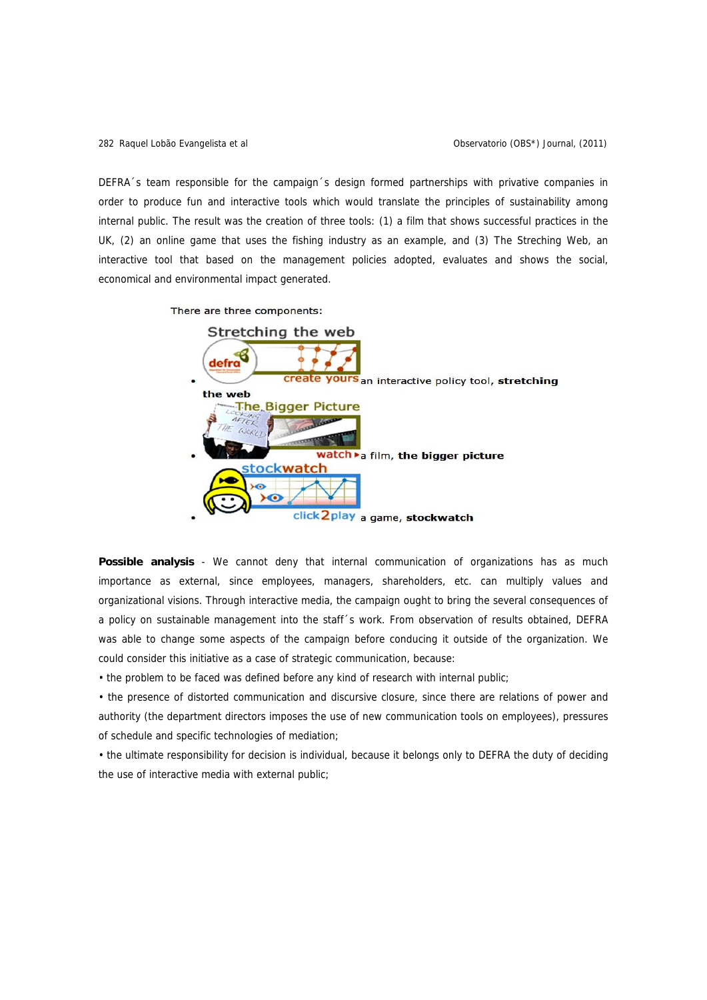DEFRA´s team responsible for the campaign´s design formed partnerships with privative companies in order to produce fun and interactive tools which would translate the principles of sustainability among internal public. The result was the creation of three tools: (1) a film that shows successful practices in the UK, (2) an online game that uses the fishing industry as an example, and (3) The Streching Web, an interactive tool that based on the management policies adopted, evaluates and shows the social, economical and environmental impact generated.



**Possible analysis** - We cannot deny that internal communication of organizations has as much importance as external, since employees, managers, shareholders, etc. can multiply values and organizational visions. Through interactive media, the campaign ought to bring the several consequences of a policy on sustainable management into the staff´s work. From observation of results obtained, DEFRA was able to change some aspects of the campaign before conducing it outside of the organization. We could consider this initiative as a case of strategic communication, because:

• the problem to be faced was defined before any kind of research with internal public;

• the presence of distorted communication and discursive closure, since there are relations of power and authority (the department directors imposes the use of new communication tools on employees), pressures of schedule and specific technologies of mediation;

• the ultimate responsibility for decision is individual, because it belongs only to DEFRA the duty of deciding the use of interactive media with external public;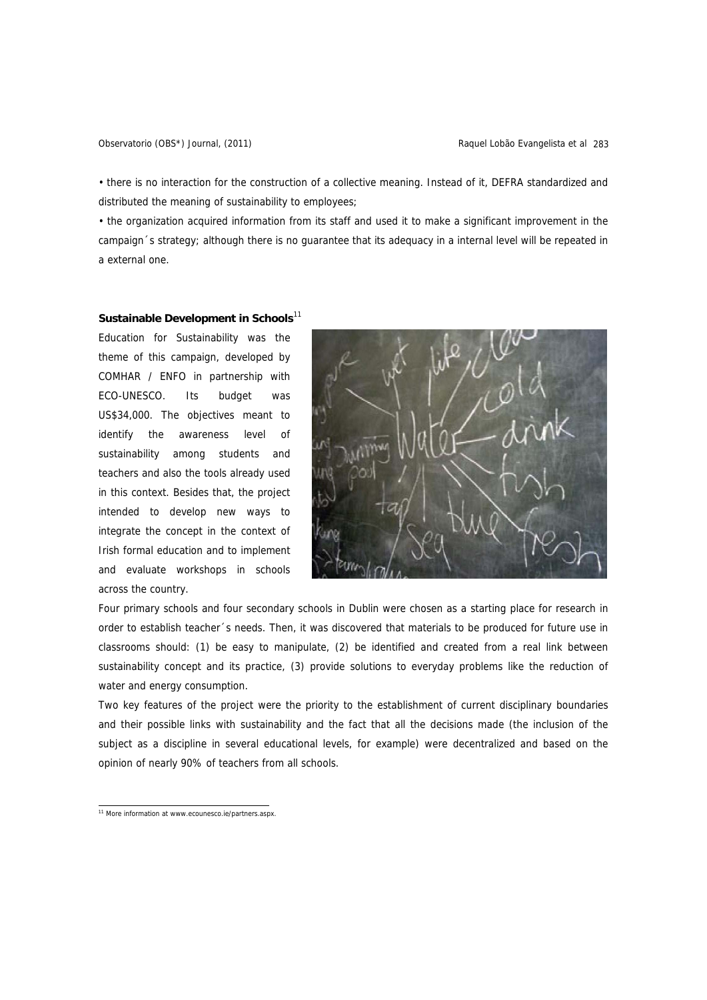• there is no interaction for the construction of a collective meaning. Instead of it, DEFRA standardized and distributed the meaning of sustainability to employees;

• the organization acquired information from its staff and used it to make a significant improvement in the campaign´s strategy; although there is no guarantee that its adequacy in a internal level will be repeated in a external one.

## Sustainable Development in Schools<sup>11</sup>

Education for Sustainability was the theme of this campaign, developed by COMHAR / ENFO in partnership with ECO-UNESCO. Its budget was US\$34,000. The objectives meant to identify the awareness level of sustainability among students and teachers and also the tools already used in this context. Besides that, the project intended to develop new ways to integrate the concept in the context of Irish formal education and to implement and evaluate workshops in schools across the country.



Four primary schools and four secondary schools in Dublin were chosen as a starting place for research in order to establish teacher´s needs. Then, it was discovered that materials to be produced for future use in classrooms should: (1) be easy to manipulate, (2) be identified and created from a real link between sustainability concept and its practice, (3) provide solutions to everyday problems like the reduction of water and energy consumption.

Two key features of the project were the priority to the establishment of current disciplinary boundaries and their possible links with sustainability and the fact that all the decisions made (the inclusion of the subject as a discipline in several educational levels, for example) were decentralized and based on the opinion of nearly 90% of teachers from all schools.

<sup>&</sup>lt;sup>11</sup> More information at www.ecounesco.ie/partners.aspx.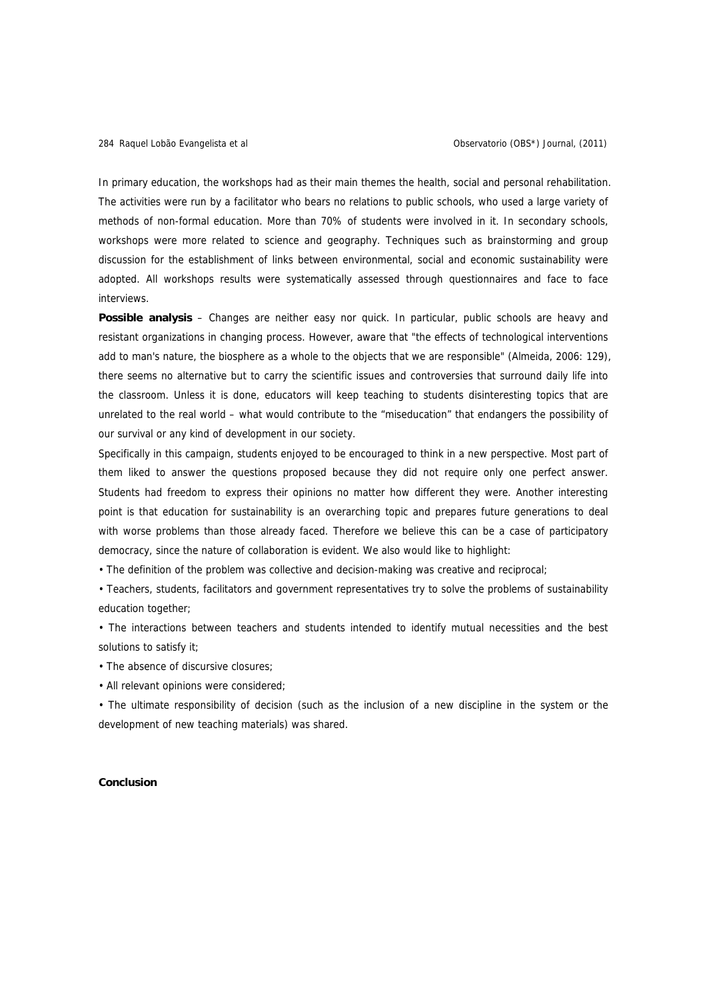In primary education, the workshops had as their main themes the health, social and personal rehabilitation. The activities were run by a facilitator who bears no relations to public schools, who used a large variety of methods of non-formal education. More than 70% of students were involved in it. In secondary schools, workshops were more related to science and geography. Techniques such as brainstorming and group discussion for the establishment of links between environmental, social and economic sustainability were adopted. All workshops results were systematically assessed through questionnaires and face to face interviews.

**Possible analysis** – Changes are neither easy nor quick. In particular, public schools are heavy and resistant organizations in changing process. However, aware that "the effects of technological interventions add to man's nature, the biosphere as a whole to the objects that we are responsible" (Almeida, 2006: 129), there seems no alternative but to carry the scientific issues and controversies that surround daily life into the classroom. Unless it is done, educators will keep teaching to students disinteresting topics that are unrelated to the real world – what would contribute to the "miseducation" that endangers the possibility of our survival or any kind of development in our society.

Specifically in this campaign, students enjoyed to be encouraged to think in a new perspective. Most part of them liked to answer the questions proposed because they did not require only one perfect answer. Students had freedom to express their opinions no matter how different they were. Another interesting point is that education for sustainability is an overarching topic and prepares future generations to deal with worse problems than those already faced. Therefore we believe this can be a case of participatory democracy, since the nature of collaboration is evident. We also would like to highlight:

• The definition of the problem was collective and decision-making was creative and reciprocal;

• Teachers, students, facilitators and government representatives try to solve the problems of sustainability education together;

• The interactions between teachers and students intended to identify mutual necessities and the best solutions to satisfy it;

• The absence of discursive closures;

• All relevant opinions were considered;

• The ultimate responsibility of decision (such as the inclusion of a new discipline in the system or the development of new teaching materials) was shared.

### **Conclusion**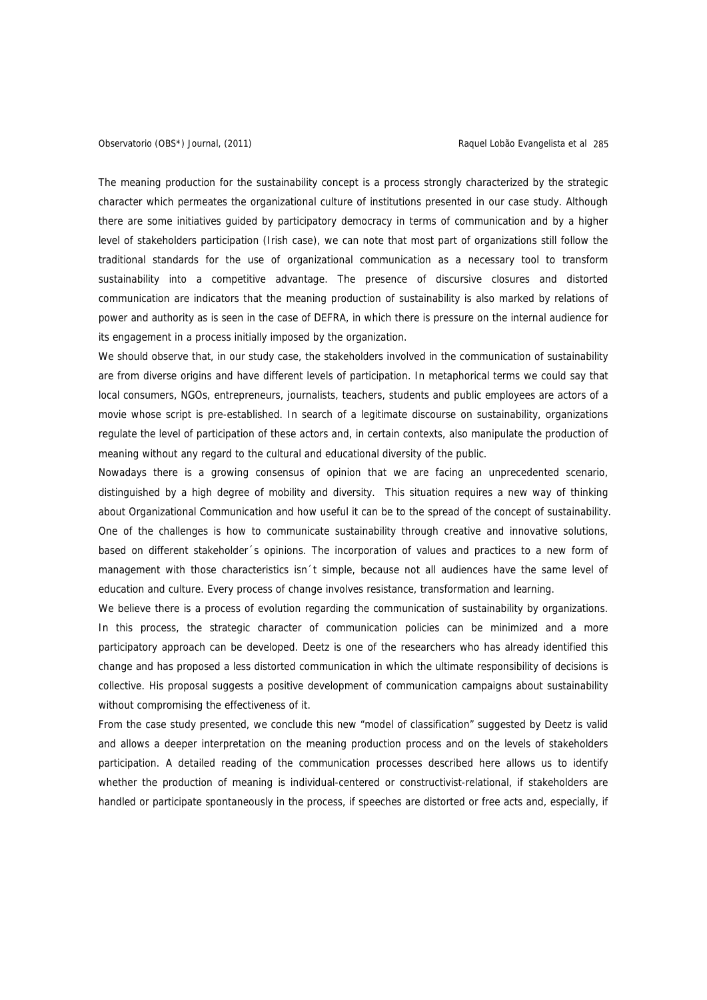The meaning production for the sustainability concept is a process strongly characterized by the strategic character which permeates the organizational culture of institutions presented in our case study. Although there are some initiatives guided by participatory democracy in terms of communication and by a higher level of stakeholders participation (Irish case), we can note that most part of organizations still follow the traditional standards for the use of organizational communication as a necessary tool to transform sustainability into a competitive advantage. The presence of discursive closures and distorted communication are indicators that the meaning production of sustainability is also marked by relations of power and authority as is seen in the case of DEFRA, in which there is pressure on the internal audience for its engagement in a process initially imposed by the organization.

We should observe that, in our study case, the stakeholders involved in the communication of sustainability are from diverse origins and have different levels of participation. In metaphorical terms we could say that local consumers, NGOs, entrepreneurs, journalists, teachers, students and public employees are actors of a movie whose script is pre-established. In search of a legitimate discourse on sustainability, organizations regulate the level of participation of these actors and, in certain contexts, also manipulate the production of meaning without any regard to the cultural and educational diversity of the public.

Nowadays there is a growing consensus of opinion that we are facing an unprecedented scenario, distinguished by a high degree of mobility and diversity. This situation requires a new way of thinking about Organizational Communication and how useful it can be to the spread of the concept of sustainability. One of the challenges is how to communicate sustainability through creative and innovative solutions, based on different stakeholder´s opinions. The incorporation of values and practices to a new form of management with those characteristics isn´t simple, because not all audiences have the same level of education and culture. Every process of change involves resistance, transformation and learning.

We believe there is a process of evolution regarding the communication of sustainability by organizations. In this process, the strategic character of communication policies can be minimized and a more participatory approach can be developed. Deetz is one of the researchers who has already identified this change and has proposed a less distorted communication in which the ultimate responsibility of decisions is collective. His proposal suggests a positive development of communication campaigns about sustainability without compromising the effectiveness of it.

From the case study presented, we conclude this new "model of classification" suggested by Deetz is valid and allows a deeper interpretation on the meaning production process and on the levels of stakeholders participation. A detailed reading of the communication processes described here allows us to identify whether the production of meaning is individual-centered or constructivist-relational, if stakeholders are handled or participate spontaneously in the process, if speeches are distorted or free acts and, especially, if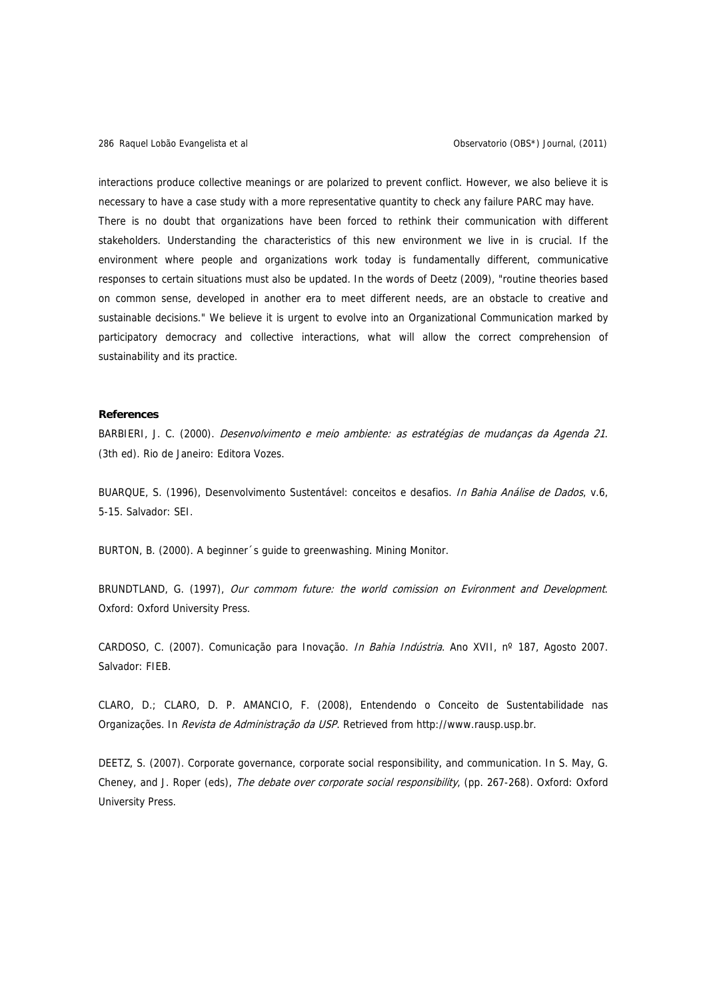interactions produce collective meanings or are polarized to prevent conflict. However, we also believe it is necessary to have a case study with a more representative quantity to check any failure PARC may have. There is no doubt that organizations have been forced to rethink their communication with different stakeholders. Understanding the characteristics of this new environment we live in is crucial. If the environment where people and organizations work today is fundamentally different, communicative responses to certain situations must also be updated. In the words of Deetz (2009), "routine theories based on common sense, developed in another era to meet different needs, are an obstacle to creative and sustainable decisions." We believe it is urgent to evolve into an Organizational Communication marked by participatory democracy and collective interactions, what will allow the correct comprehension of sustainability and its practice.

## **References**

BARBIERI, J. C. (2000). Desenvolvimento e meio ambiente: as estratégias de mudanças da Agenda 21. (3th ed). Rio de Janeiro: Editora Vozes.

BUARQUE, S. (1996), Desenvolvimento Sustentável: conceitos e desafios. In Bahia Análise de Dados, v.6, 5-15. Salvador: SEI.

BURTON, B. (2000). A beginner´s guide to greenwashing. Mining Monitor.

BRUNDTLAND, G. (1997), Our commom future: the world comission on Evironment and Development. Oxford: Oxford University Press.

CARDOSO, C. (2007). Comunicação para Inovação. *In Bahia Indústria*. Ano XVII, nº 187, Agosto 2007. Salvador: FIEB.

CLARO, D.; CLARO, D. P. AMANCIO, F. (2008), Entendendo o Conceito de Sustentabilidade nas Organizações. In Revista de Administração da USP. Retrieved from http://www.rausp.usp.br.

DEETZ, S. (2007). Corporate governance, corporate social responsibility, and communication. In S. May, G. Cheney, and J. Roper (eds), The debate over corporate social responsibility, (pp. 267-268). Oxford: Oxford University Press.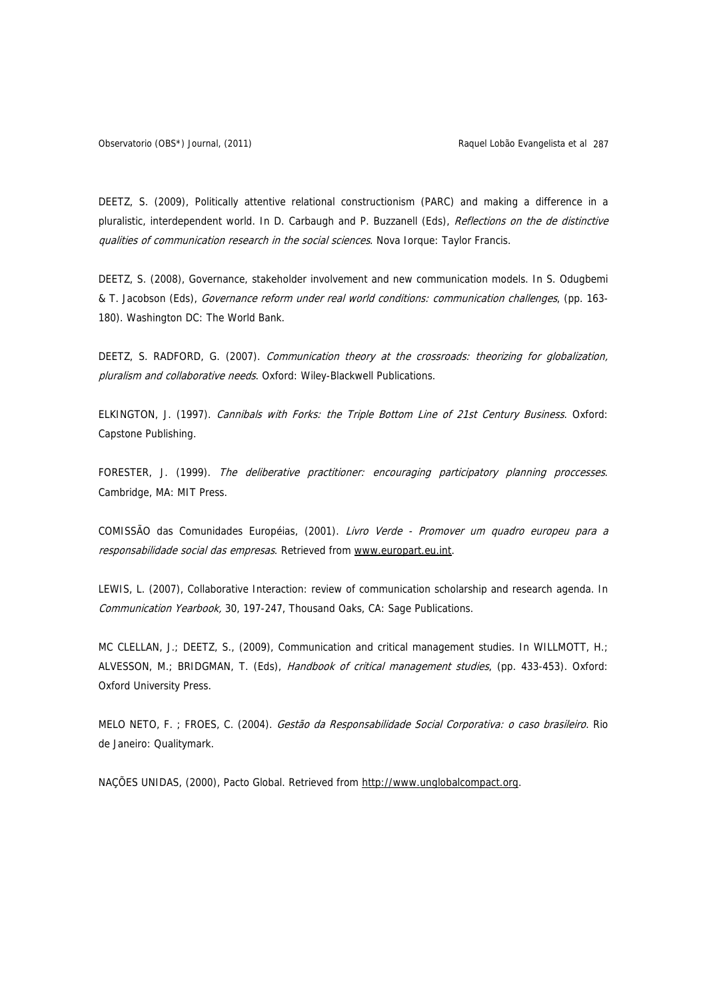DEETZ, S. (2009), Politically attentive relational constructionism (PARC) and making a difference in a pluralistic, interdependent world. In D. Carbaugh and P. Buzzanell (Eds), Reflections on the de distinctive qualities of communication research in the social sciences. Nova Iorque: Taylor Francis.

DEETZ, S. (2008), Governance, stakeholder involvement and new communication models. In S. Odugbemi & T. Jacobson (Eds), Governance reform under real world conditions: communication challenges, (pp. 163- 180). Washington DC: The World Bank.

DEETZ, S. RADFORD, G. (2007). Communication theory at the crossroads: theorizing for globalization, pluralism and collaborative needs. Oxford: Wiley-Blackwell Publications.

ELKINGTON, J. (1997). Cannibals with Forks: the Triple Bottom Line of 21st Century Business. Oxford: Capstone Publishing.

FORESTER, J. (1999). The deliberative practitioner: encouraging participatory planning proccesses. Cambridge, MA: MIT Press.

COMISSÃO das Comunidades Européias, (2001). Livro Verde - Promover um quadro europeu para a responsabilidade social das empresas. Retrieved from www.europart.eu.int.

LEWIS, L. (2007), Collaborative Interaction: review of communication scholarship and research agenda. In Communication Yearbook, 30, 197-247, Thousand Oaks, CA: Sage Publications.

MC CLELLAN, J.; DEETZ, S., (2009), Communication and critical management studies. In WILLMOTT, H.; ALVESSON, M.; BRIDGMAN, T. (Eds), Handbook of critical management studies, (pp. 433-453). Oxford: Oxford University Press.

MELO NETO, F. ; FROES, C. (2004). Gestão da Responsabilidade Social Corporativa: o caso brasileiro. Rio de Janeiro: Qualitymark.

NAÇÕES UNIDAS, (2000), Pacto Global. Retrieved from http://www.unglobalcompact.org.